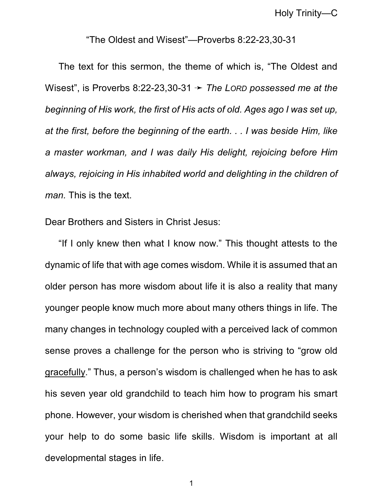Holy Trinity—C

## "The Oldest and Wisest"—Proverbs 8:22-23,30-31

The text for this sermon, the theme of which is, "The Oldest and Wisest", is Proverbs 8:22-23,30-31  $\rightarrow$  *The LORD possessed me at the beginning of His work, the first of His acts of old. Ages ago I was set up, at the first, before the beginning of the earth. . . I was beside Him, like a master workman, and I was daily His delight, rejoicing before Him always, rejoicing in His inhabited world and delighting in the children of man.* This is the text.

Dear Brothers and Sisters in Christ Jesus:

"If I only knew then what I know now." This thought attests to the dynamic of life that with age comes wisdom. While it is assumed that an older person has more wisdom about life it is also a reality that many younger people know much more about many others things in life. The many changes in technology coupled with a perceived lack of common sense proves a challenge for the person who is striving to "grow old gracefully." Thus, a person's wisdom is challenged when he has to ask his seven year old grandchild to teach him how to program his smart phone. However, your wisdom is cherished when that grandchild seeks your help to do some basic life skills. Wisdom is important at all developmental stages in life.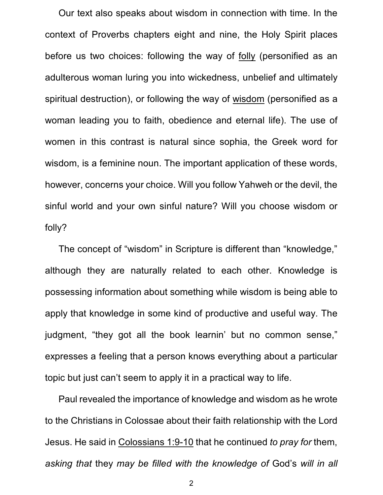Our text also speaks about wisdom in connection with time. In the context of Proverbs chapters eight and nine, the Holy Spirit places before us two choices: following the way of folly (personified as an adulterous woman luring you into wickedness, unbelief and ultimately spiritual destruction), or following the way of wisdom (personified as a woman leading you to faith, obedience and eternal life). The use of women in this contrast is natural since sophia, the Greek word for wisdom, is a feminine noun. The important application of these words, however, concerns your choice. Will you follow Yahweh or the devil, the sinful world and your own sinful nature? Will you choose wisdom or folly?

The concept of "wisdom" in Scripture is different than "knowledge," although they are naturally related to each other. Knowledge is possessing information about something while wisdom is being able to apply that knowledge in some kind of productive and useful way. The judgment, "they got all the book learnin' but no common sense," expresses a feeling that a person knows everything about a particular topic but just can't seem to apply it in a practical way to life.

Paul revealed the importance of knowledge and wisdom as he wrote to the Christians in Colossae about their faith relationship with the Lord Jesus. He said in Colossians 1:9-10 that he continued *to pray for* them, *asking that* they *may be filled with the knowledge of* God's *will in all*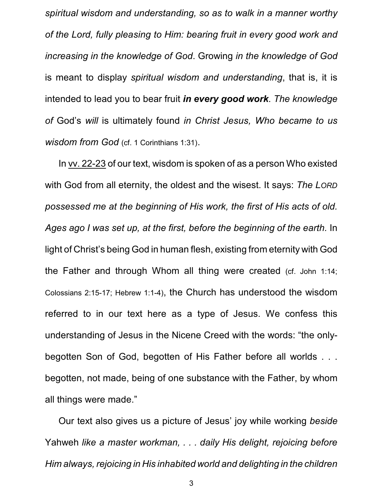*spiritual wisdom and understanding, so as to walk in a manner worthy of the Lord, fully pleasing to Him: bearing fruit in every good work and increasing in the knowledge of God*. Growing *in the knowledge of God* is meant to display *spiritual wisdom and understanding*, that is, it is intended to lead you to bear fruit *in every good work*. *The knowledge of* God's *will* is ultimately found *in Christ Jesus, Who became to us wisdom from God* (cf. 1 Corinthians 1:31).

In vv. 22-23 of our text, wisdom is spoken of as a person Who existed with God from all eternity, the oldest and the wisest. It says: *The LORD possessed me at the beginning of His work, the first of His acts of old. Ages ago I was set up, at the first, before the beginning of the earth.* In light of Christ's being God in human flesh, existing from eternity with God the Father and through Whom all thing were created (cf. John 1:14; Colossians 2:15-17; Hebrew 1:1-4), the Church has understood the wisdom referred to in our text here as a type of Jesus. We confess this understanding of Jesus in the Nicene Creed with the words: "the onlybegotten Son of God, begotten of His Father before all worlds . . . begotten, not made, being of one substance with the Father, by whom all things were made."

Our text also gives us a picture of Jesus' joy while working *beside* Yahweh *like a master workman, . . . daily His delight, rejoicing before Him always, rejoicing in His inhabited world and delighting in the children*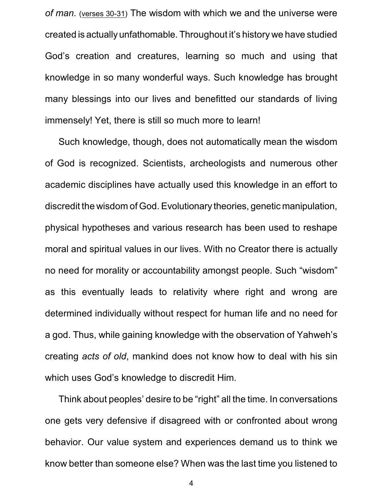*of man.* (verses 30-31) The wisdom with which we and the universe were created is actually unfathomable. Throughout it's history we have studied God's creation and creatures, learning so much and using that knowledge in so many wonderful ways. Such knowledge has brought many blessings into our lives and benefitted our standards of living immensely! Yet, there is still so much more to learn!

Such knowledge, though, does not automatically mean the wisdom of God is recognized. Scientists, archeologists and numerous other academic disciplines have actually used this knowledge in an effort to discredit the wisdom of God. Evolutionary theories, genetic manipulation, physical hypotheses and various research has been used to reshape moral and spiritual values in our lives. With no Creator there is actually no need for morality or accountability amongst people. Such "wisdom" as this eventually leads to relativity where right and wrong are determined individually without respect for human life and no need for a god. Thus, while gaining knowledge with the observation of Yahweh's creating *acts of old*, mankind does not know how to deal with his sin which uses God's knowledge to discredit Him.

Think about peoples' desire to be "right" all the time. In conversations one gets very defensive if disagreed with or confronted about wrong behavior. Our value system and experiences demand us to think we know better than someone else? When was the last time you listened to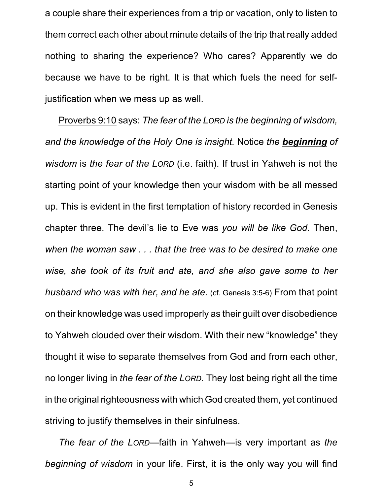a couple share their experiences from a trip or vacation, only to listen to them correct each other about minute details of the trip that really added nothing to sharing the experience? Who cares? Apparently we do because we have to be right. It is that which fuels the need for selfjustification when we mess up as well.

Proverbs 9:10 says: *The fear of the LORD is the beginning of wisdom, and the knowledge of the Holy One is insight.* Notice *the beginning of wisdom* is *the fear of the LORD* (i.e. faith). If trust in Yahweh is not the starting point of your knowledge then your wisdom with be all messed up. This is evident in the first temptation of history recorded in Genesis chapter three. The devil's lie to Eve was *you will be like God.* Then, *when the woman saw . . . that the tree was to be desired to make one wise, she took of its fruit and ate, and she also gave some to her husband who was with her, and he ate.* (cf. Genesis 3:5-6) From that point on their knowledge was used improperly as their guilt over disobedience to Yahweh clouded over their wisdom. With their new "knowledge" they thought it wise to separate themselves from God and from each other, no longer living in *the fear of the LORD*. They lost being right all the time in the original righteousness with which God created them, yet continued striving to justify themselves in their sinfulness.

*The fear of the LORD*—faith in Yahweh—is very important as *the beginning of wisdom* in your life. First, it is the only way you will find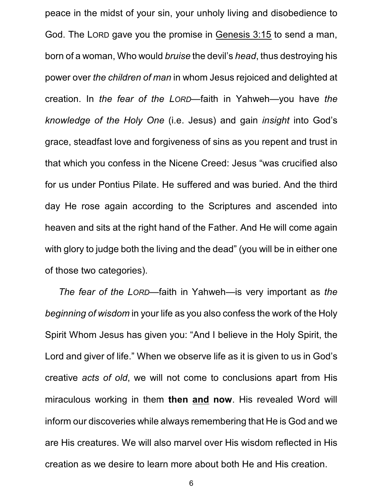peace in the midst of your sin, your unholy living and disobedience to God. The LORD gave you the promise in Genesis 3:15 to send a man, born of a woman, Who would *bruise* the devil's *head*, thus destroying his power over *the children of man* in whom Jesus rejoiced and delighted at creation. In *the fear of the LORD*—faith in Yahweh—you have *the knowledge of the Holy One* (i.e. Jesus) and gain *insight* into God's grace, steadfast love and forgiveness of sins as you repent and trust in that which you confess in the Nicene Creed: Jesus "was crucified also for us under Pontius Pilate. He suffered and was buried. And the third day He rose again according to the Scriptures and ascended into heaven and sits at the right hand of the Father. And He will come again with glory to judge both the living and the dead" (you will be in either one of those two categories).

*The fear of the LORD*—faith in Yahweh—is very important as *the beginning of wisdom* in your life as you also confess the work of the Holy Spirit Whom Jesus has given you: "And I believe in the Holy Spirit, the Lord and giver of life." When we observe life as it is given to us in God's creative *acts of old*, we will not come to conclusions apart from His miraculous working in them **then and now**. His revealed Word will inform our discoveries while always remembering that He is God and we are His creatures. We will also marvel over His wisdom reflected in His creation as we desire to learn more about both He and His creation.